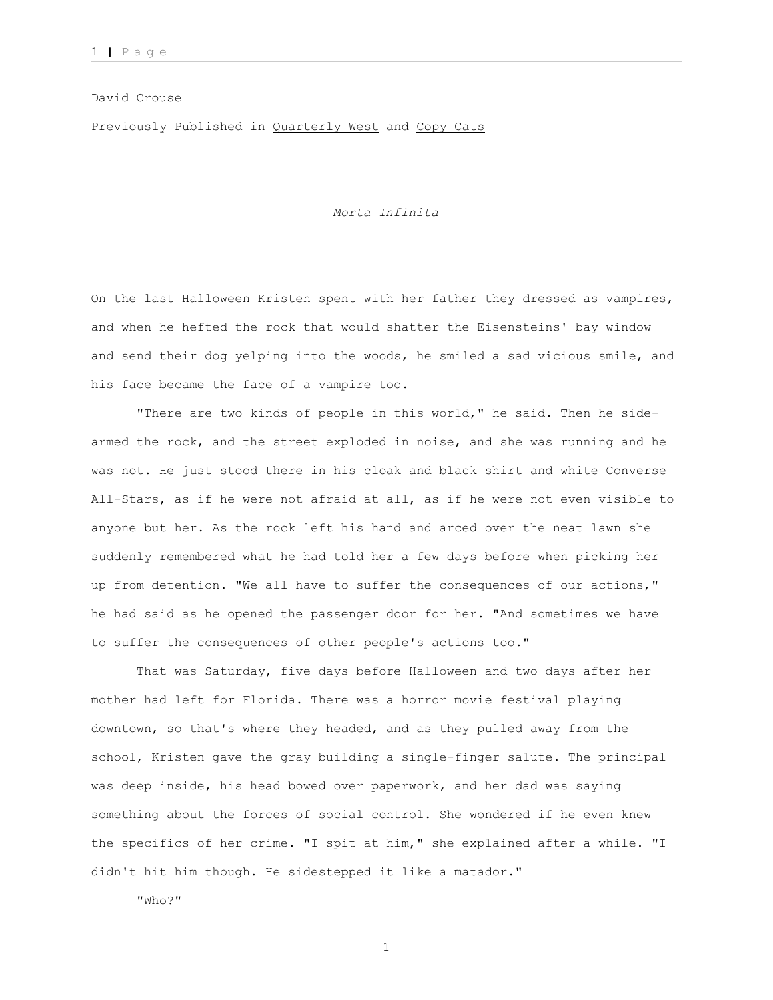## David Crouse

Previously Published in Quarterly West and Copy Cats

## *Morta Infinita*

On the last Halloween Kristen spent with her father they dressed as vampires, and when he hefted the rock that would shatter the Eisensteins' bay window and send their dog yelping into the woods, he smiled a sad vicious smile, and his face became the face of a vampire too.

"There are two kinds of people in this world," he said. Then he sidearmed the rock, and the street exploded in noise, and she was running and he was not. He just stood there in his cloak and black shirt and white Converse All-Stars, as if he were not afraid at all, as if he were not even visible to anyone but her. As the rock left his hand and arced over the neat lawn she suddenly remembered what he had told her a few days before when picking her up from detention. "We all have to suffer the consequences of our actions," he had said as he opened the passenger door for her. "And sometimes we have to suffer the consequences of other people's actions too."

That was Saturday, five days before Halloween and two days after her mother had left for Florida. There was a horror movie festival playing downtown, so that's where they headed, and as they pulled away from the school, Kristen gave the gray building a single-finger salute. The principal was deep inside, his head bowed over paperwork, and her dad was saying something about the forces of social control. She wondered if he even knew the specifics of her crime. "I spit at him," she explained after a while. "I didn't hit him though. He sidestepped it like a matador."

"Who?"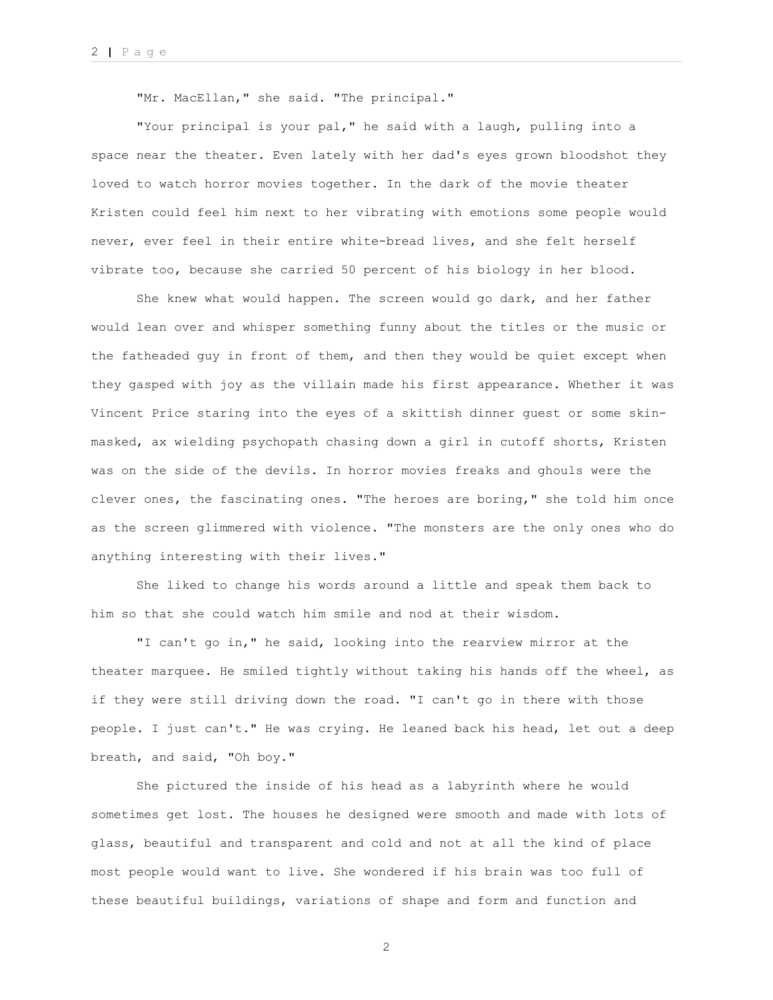"Mr. MacEllan," she said. "The principal."

"Your principal is your pal," he said with a laugh, pulling into a space near the theater. Even lately with her dad's eyes grown bloodshot they loved to watch horror movies together. In the dark of the movie theater Kristen could feel him next to her vibrating with emotions some people would never, ever feel in their entire white-bread lives, and she felt herself vibrate too, because she carried 50 percent of his biology in her blood.

She knew what would happen. The screen would go dark, and her father would lean over and whisper something funny about the titles or the music or the fatheaded guy in front of them, and then they would be quiet except when they gasped with joy as the villain made his first appearance. Whether it was Vincent Price staring into the eyes of a skittish dinner guest or some skinmasked, ax wielding psychopath chasing down a girl in cutoff shorts, Kristen was on the side of the devils. In horror movies freaks and ghouls were the clever ones, the fascinating ones. "The heroes are boring," she told him once as the screen glimmered with violence. "The monsters are the only ones who do anything interesting with their lives."

She liked to change his words around a little and speak them back to him so that she could watch him smile and nod at their wisdom.

"I can't go in," he said, looking into the rearview mirror at the theater marquee. He smiled tightly without taking his hands off the wheel, as if they were still driving down the road. "I can't go in there with those people. I just can't." He was crying. He leaned back his head, let out a deep breath, and said, "Oh boy."

She pictured the inside of his head as a labyrinth where he would sometimes get lost. The houses he designed were smooth and made with lots of glass, beautiful and transparent and cold and not at all the kind of place most people would want to live. She wondered if his brain was too full of these beautiful buildings, variations of shape and form and function and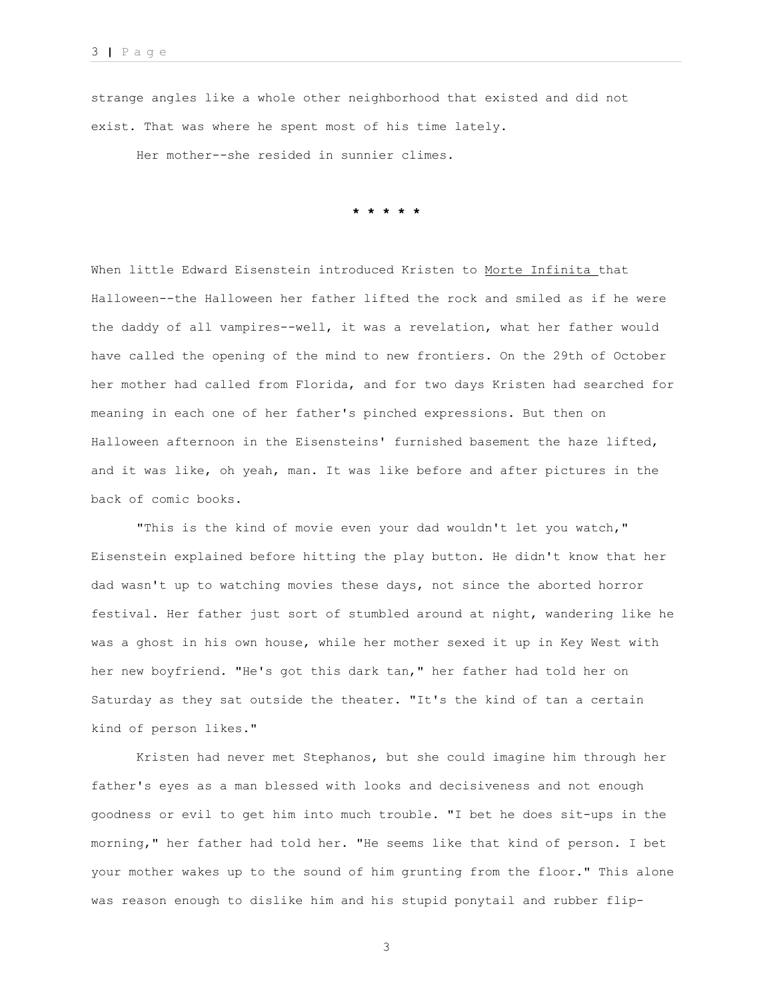strange angles like a whole other neighborhood that existed and did not exist. That was where he spent most of his time lately.

Her mother--she resided in sunnier climes.

**\* \* \* \* \***

When little Edward Eisenstein introduced Kristen to Morte Infinita that Halloween--the Halloween her father lifted the rock and smiled as if he were the daddy of all vampires--well, it was a revelation, what her father would have called the opening of the mind to new frontiers. On the 29th of October her mother had called from Florida, and for two days Kristen had searched for meaning in each one of her father's pinched expressions. But then on Halloween afternoon in the Eisensteins' furnished basement the haze lifted, and it was like, oh yeah, man. It was like before and after pictures in the back of comic books.

"This is the kind of movie even your dad wouldn't let you watch," Eisenstein explained before hitting the play button. He didn't know that her dad wasn't up to watching movies these days, not since the aborted horror festival. Her father just sort of stumbled around at night, wandering like he was a ghost in his own house, while her mother sexed it up in Key West with her new boyfriend. "He's got this dark tan," her father had told her on Saturday as they sat outside the theater. "It's the kind of tan a certain kind of person likes."

Kristen had never met Stephanos, but she could imagine him through her father's eyes as a man blessed with looks and decisiveness and not enough goodness or evil to get him into much trouble. "I bet he does sit-ups in the morning," her father had told her. "He seems like that kind of person. I bet your mother wakes up to the sound of him grunting from the floor." This alone was reason enough to dislike him and his stupid ponytail and rubber flip-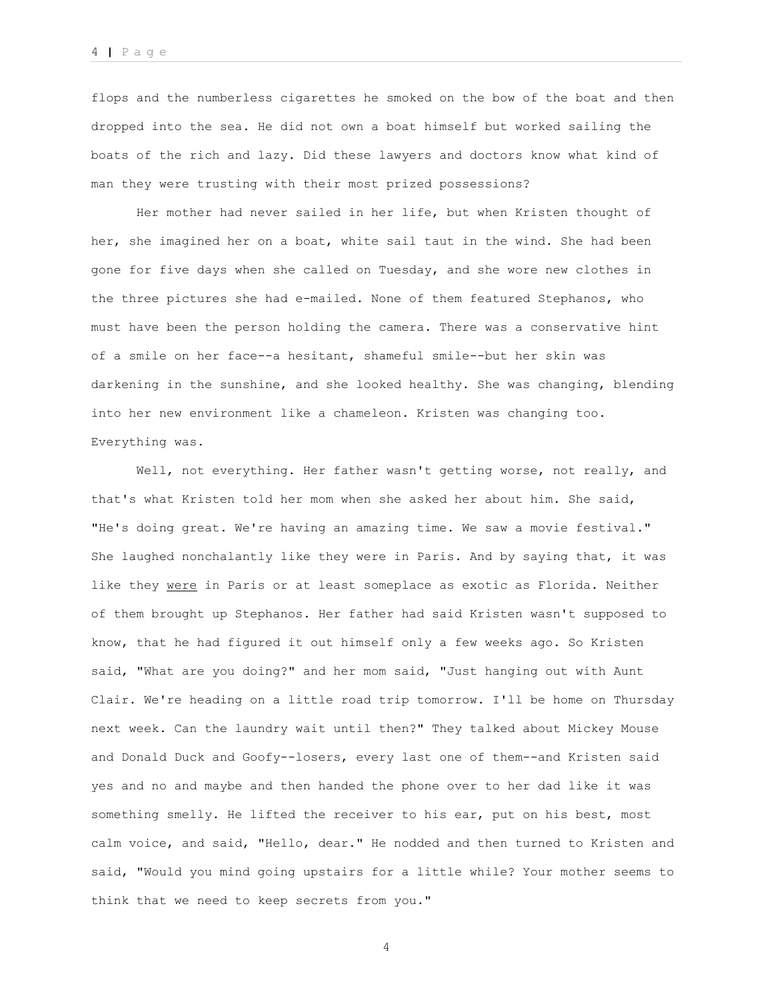flops and the numberless cigarettes he smoked on the bow of the boat and then dropped into the sea. He did not own a boat himself but worked sailing the boats of the rich and lazy. Did these lawyers and doctors know what kind of man they were trusting with their most prized possessions?

Her mother had never sailed in her life, but when Kristen thought of her, she imagined her on a boat, white sail taut in the wind. She had been gone for five days when she called on Tuesday, and she wore new clothes in the three pictures she had e-mailed. None of them featured Stephanos, who must have been the person holding the camera. There was a conservative hint of a smile on her face--a hesitant, shameful smile--but her skin was darkening in the sunshine, and she looked healthy. She was changing, blending into her new environment like a chameleon. Kristen was changing too. Everything was.

Well, not everything. Her father wasn't getting worse, not really, and that's what Kristen told her mom when she asked her about him. She said, "He's doing great. We're having an amazing time. We saw a movie festival." She laughed nonchalantly like they were in Paris. And by saying that, it was like they were in Paris or at least someplace as exotic as Florida. Neither of them brought up Stephanos. Her father had said Kristen wasn't supposed to know, that he had figured it out himself only a few weeks ago. So Kristen said, "What are you doing?" and her mom said, "Just hanging out with Aunt Clair. We're heading on a little road trip tomorrow. I'll be home on Thursday next week. Can the laundry wait until then?" They talked about Mickey Mouse and Donald Duck and Goofy--losers, every last one of them--and Kristen said yes and no and maybe and then handed the phone over to her dad like it was something smelly. He lifted the receiver to his ear, put on his best, most calm voice, and said, "Hello, dear." He nodded and then turned to Kristen and said, "Would you mind going upstairs for a little while? Your mother seems to think that we need to keep secrets from you."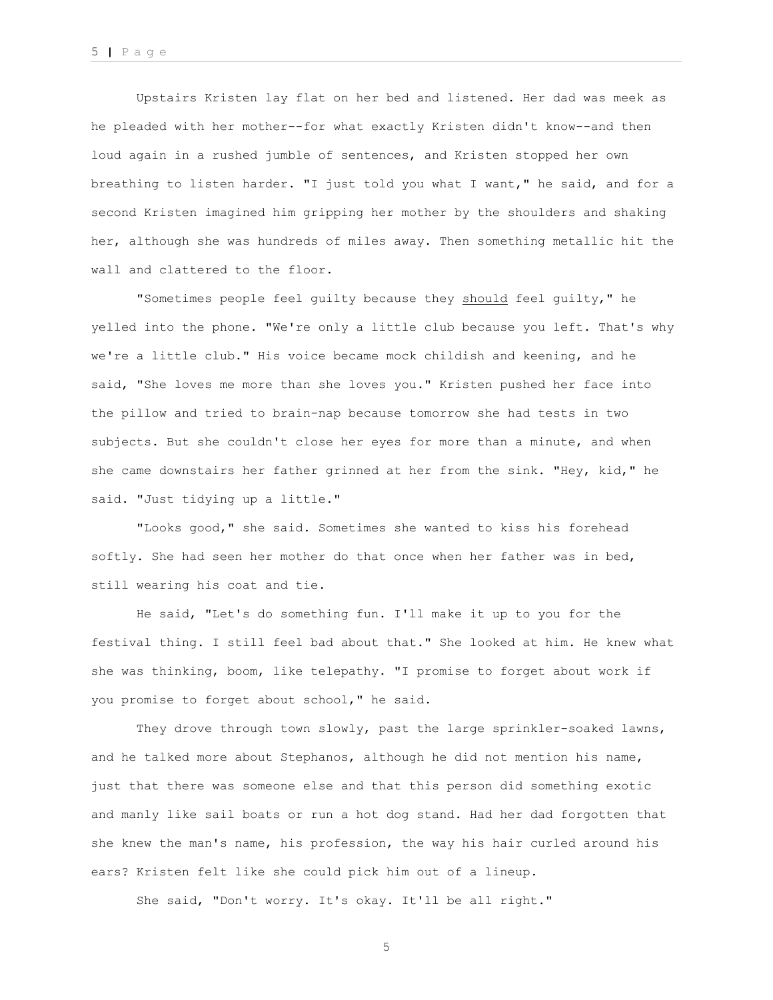Upstairs Kristen lay flat on her bed and listened. Her dad was meek as he pleaded with her mother--for what exactly Kristen didn't know--and then loud again in a rushed jumble of sentences, and Kristen stopped her own breathing to listen harder. "I just told you what I want," he said, and for a second Kristen imagined him gripping her mother by the shoulders and shaking her, although she was hundreds of miles away. Then something metallic hit the wall and clattered to the floor.

"Sometimes people feel guilty because they should feel guilty," he yelled into the phone. "We're only a little club because you left. That's why we're a little club." His voice became mock childish and keening, and he said, "She loves me more than she loves you." Kristen pushed her face into the pillow and tried to brain-nap because tomorrow she had tests in two subjects. But she couldn't close her eyes for more than a minute, and when she came downstairs her father grinned at her from the sink. "Hey, kid," he said. "Just tidying up a little."

"Looks good," she said. Sometimes she wanted to kiss his forehead softly. She had seen her mother do that once when her father was in bed, still wearing his coat and tie.

He said, "Let's do something fun. I'll make it up to you for the festival thing. I still feel bad about that." She looked at him. He knew what she was thinking, boom, like telepathy. "I promise to forget about work if you promise to forget about school," he said.

They drove through town slowly, past the large sprinkler-soaked lawns, and he talked more about Stephanos, although he did not mention his name, just that there was someone else and that this person did something exotic and manly like sail boats or run a hot dog stand. Had her dad forgotten that she knew the man's name, his profession, the way his hair curled around his ears? Kristen felt like she could pick him out of a lineup.

She said, "Don't worry. It's okay. It'll be all right."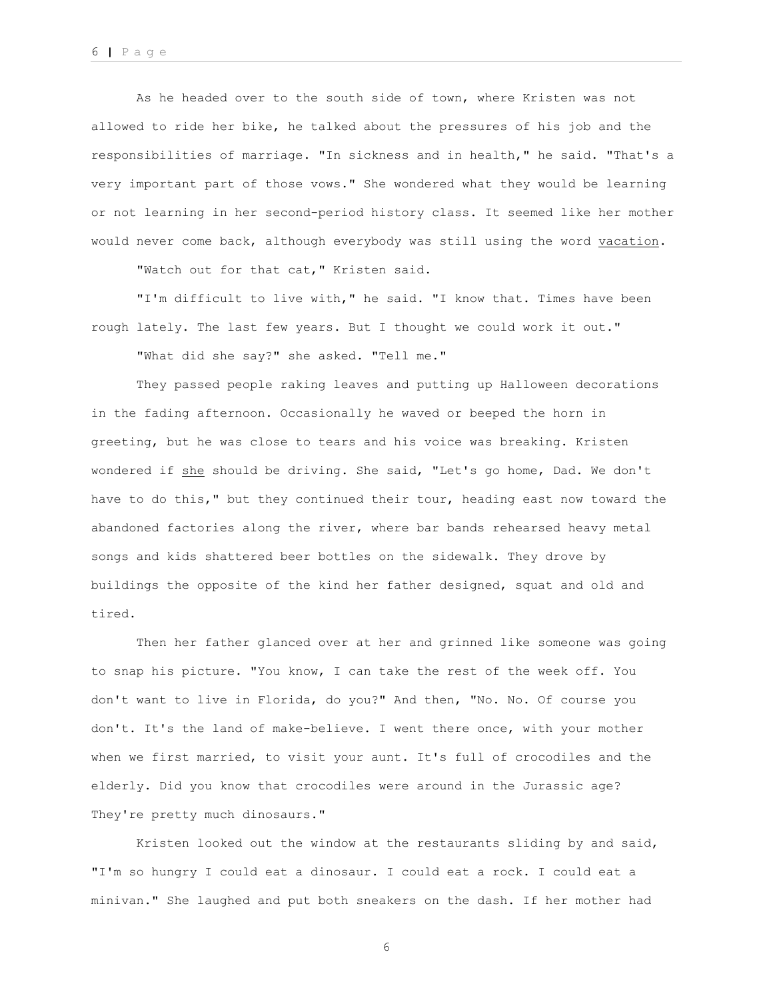As he headed over to the south side of town, where Kristen was not allowed to ride her bike, he talked about the pressures of his job and the responsibilities of marriage. "In sickness and in health," he said. "That's a very important part of those vows." She wondered what they would be learning or not learning in her second-period history class. It seemed like her mother would never come back, although everybody was still using the word vacation.

"Watch out for that cat," Kristen said.

"I'm difficult to live with," he said. "I know that. Times have been rough lately. The last few years. But I thought we could work it out."

"What did she say?" she asked. "Tell me."

They passed people raking leaves and putting up Halloween decorations in the fading afternoon. Occasionally he waved or beeped the horn in greeting, but he was close to tears and his voice was breaking. Kristen wondered if she should be driving. She said, "Let's go home, Dad. We don't have to do this," but they continued their tour, heading east now toward the abandoned factories along the river, where bar bands rehearsed heavy metal songs and kids shattered beer bottles on the sidewalk. They drove by buildings the opposite of the kind her father designed, squat and old and tired.

Then her father glanced over at her and grinned like someone was going to snap his picture. "You know, I can take the rest of the week off. You don't want to live in Florida, do you?" And then, "No. No. Of course you don't. It's the land of make-believe. I went there once, with your mother when we first married, to visit your aunt. It's full of crocodiles and the elderly. Did you know that crocodiles were around in the Jurassic age? They're pretty much dinosaurs."

Kristen looked out the window at the restaurants sliding by and said, "I'm so hungry I could eat a dinosaur. I could eat a rock. I could eat a minivan." She laughed and put both sneakers on the dash. If her mother had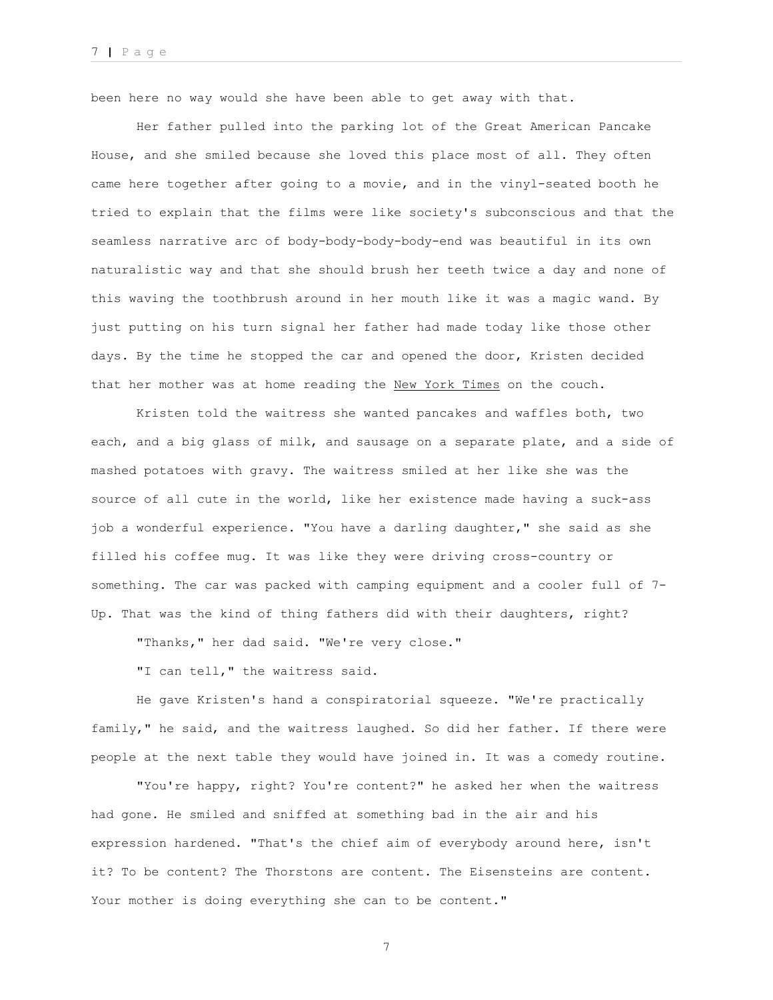been here no way would she have been able to get away with that.

Her father pulled into the parking lot of the Great American Pancake House, and she smiled because she loved this place most of all. They often came here together after going to a movie, and in the vinyl-seated booth he tried to explain that the films were like society's subconscious and that the seamless narrative arc of body-body-body-body-end was beautiful in its own naturalistic way and that she should brush her teeth twice a day and none of this waving the toothbrush around in her mouth like it was a magic wand. By just putting on his turn signal her father had made today like those other days. By the time he stopped the car and opened the door, Kristen decided that her mother was at home reading the New York Times on the couch.

Kristen told the waitress she wanted pancakes and waffles both, two each, and a big glass of milk, and sausage on a separate plate, and a side of mashed potatoes with gravy. The waitress smiled at her like she was the source of all cute in the world, like her existence made having a suck-ass job a wonderful experience. "You have a darling daughter," she said as she filled his coffee mug. It was like they were driving cross-country or something. The car was packed with camping equipment and a cooler full of 7- Up. That was the kind of thing fathers did with their daughters, right?

"Thanks," her dad said. "We're very close."

"I can tell," the waitress said.

He gave Kristen's hand a conspiratorial squeeze. "We're practically family," he said, and the waitress laughed. So did her father. If there were people at the next table they would have joined in. It was a comedy routine.

"You're happy, right? You're content?" he asked her when the waitress had gone. He smiled and sniffed at something bad in the air and his expression hardened. "That's the chief aim of everybody around here, isn't it? To be content? The Thorstons are content. The Eisensteins are content. Your mother is doing everything she can to be content."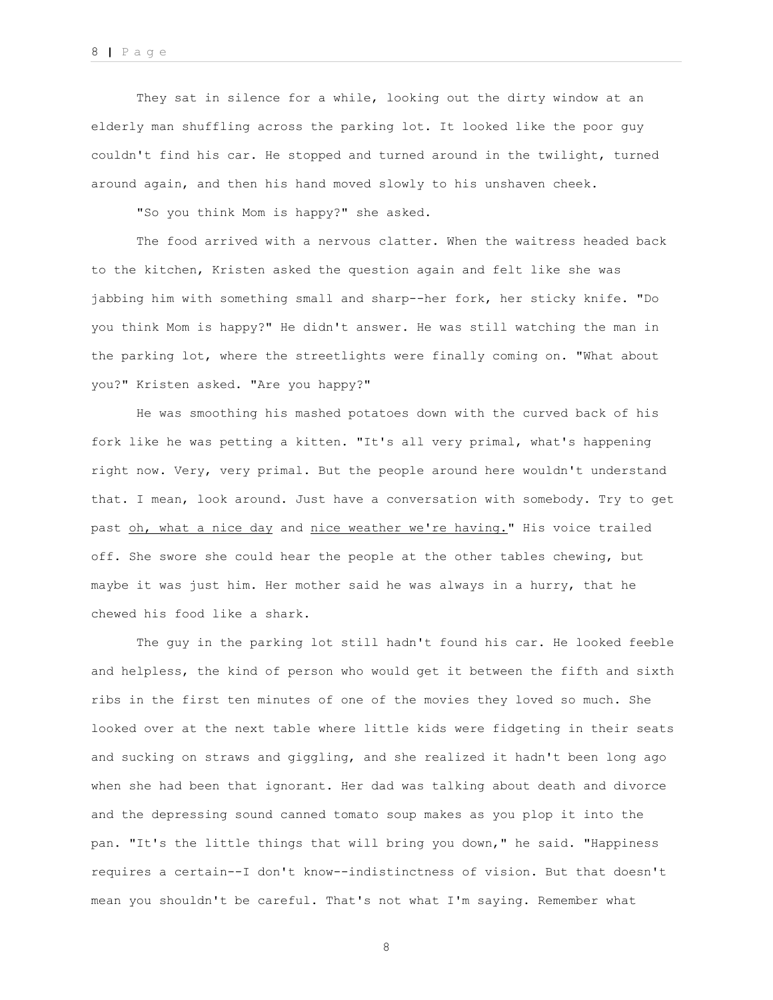They sat in silence for a while, looking out the dirty window at an elderly man shuffling across the parking lot. It looked like the poor guy couldn't find his car. He stopped and turned around in the twilight, turned around again, and then his hand moved slowly to his unshaven cheek.

"So you think Mom is happy?" she asked.

The food arrived with a nervous clatter. When the waitress headed back to the kitchen, Kristen asked the question again and felt like she was jabbing him with something small and sharp--her fork, her sticky knife. "Do you think Mom is happy?" He didn't answer. He was still watching the man in the parking lot, where the streetlights were finally coming on. "What about you?" Kristen asked. "Are you happy?"

He was smoothing his mashed potatoes down with the curved back of his fork like he was petting a kitten. "It's all very primal, what's happening right now. Very, very primal. But the people around here wouldn't understand that. I mean, look around. Just have a conversation with somebody. Try to get past oh, what a nice day and nice weather we're having." His voice trailed off. She swore she could hear the people at the other tables chewing, but maybe it was just him. Her mother said he was always in a hurry, that he chewed his food like a shark.

The guy in the parking lot still hadn't found his car. He looked feeble and helpless, the kind of person who would get it between the fifth and sixth ribs in the first ten minutes of one of the movies they loved so much. She looked over at the next table where little kids were fidgeting in their seats and sucking on straws and giggling, and she realized it hadn't been long ago when she had been that ignorant. Her dad was talking about death and divorce and the depressing sound canned tomato soup makes as you plop it into the pan. "It's the little things that will bring you down," he said. "Happiness requires a certain--I don't know--indistinctness of vision. But that doesn't mean you shouldn't be careful. That's not what I'm saying. Remember what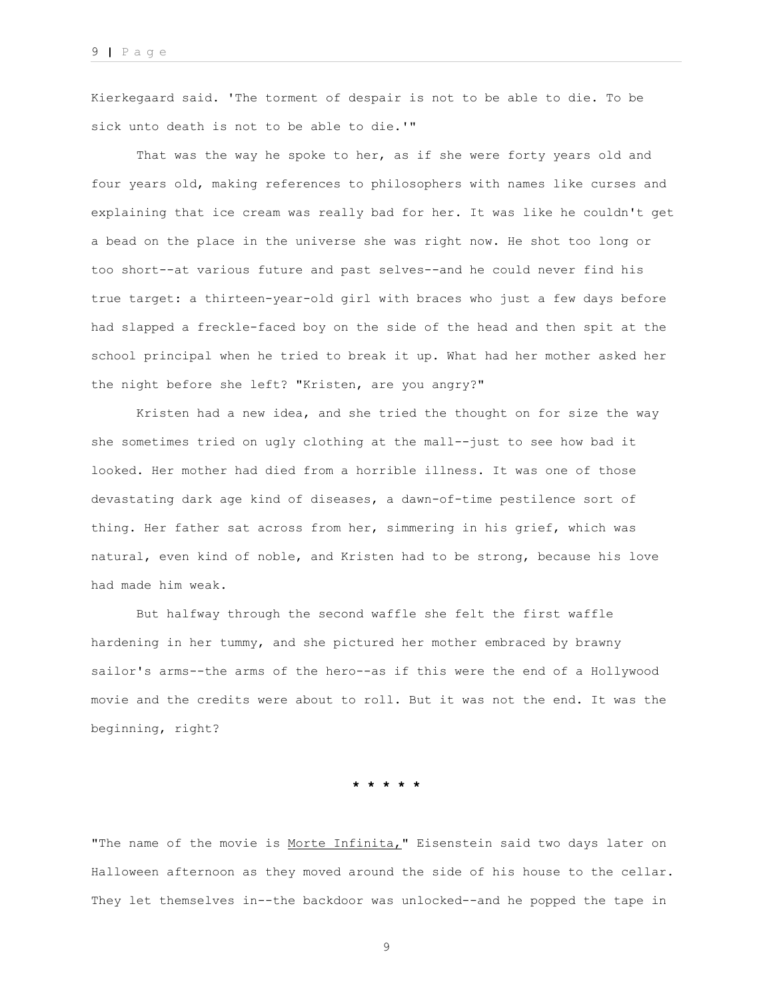Kierkegaard said. 'The torment of despair is not to be able to die. To be sick unto death is not to be able to die.'"

That was the way he spoke to her, as if she were forty years old and four years old, making references to philosophers with names like curses and explaining that ice cream was really bad for her. It was like he couldn't get a bead on the place in the universe she was right now. He shot too long or too short--at various future and past selves--and he could never find his true target: a thirteen-year-old girl with braces who just a few days before had slapped a freckle-faced boy on the side of the head and then spit at the school principal when he tried to break it up. What had her mother asked her the night before she left? "Kristen, are you angry?"

Kristen had a new idea, and she tried the thought on for size the way she sometimes tried on ugly clothing at the mall--just to see how bad it looked. Her mother had died from a horrible illness. It was one of those devastating dark age kind of diseases, a dawn-of-time pestilence sort of thing. Her father sat across from her, simmering in his grief, which was natural, even kind of noble, and Kristen had to be strong, because his love had made him weak.

But halfway through the second waffle she felt the first waffle hardening in her tummy, and she pictured her mother embraced by brawny sailor's arms--the arms of the hero--as if this were the end of a Hollywood movie and the credits were about to roll. But it was not the end. It was the beginning, right?

**\* \* \* \* \***

"The name of the movie is Morte Infinita," Eisenstein said two days later on Halloween afternoon as they moved around the side of his house to the cellar. They let themselves in--the backdoor was unlocked--and he popped the tape in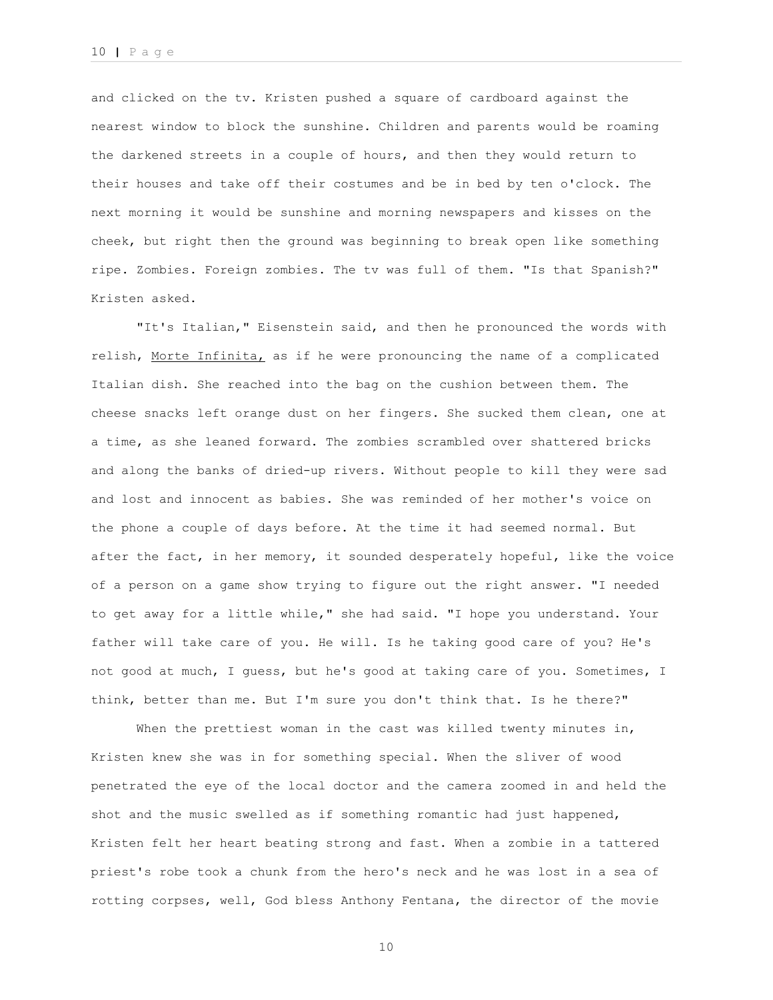and clicked on the tv. Kristen pushed a square of cardboard against the nearest window to block the sunshine. Children and parents would be roaming the darkened streets in a couple of hours, and then they would return to their houses and take off their costumes and be in bed by ten o'clock. The next morning it would be sunshine and morning newspapers and kisses on the cheek, but right then the ground was beginning to break open like something ripe. Zombies. Foreign zombies. The tv was full of them. "Is that Spanish?" Kristen asked.

"It's Italian," Eisenstein said, and then he pronounced the words with relish, Morte Infinita, as if he were pronouncing the name of a complicated Italian dish. She reached into the bag on the cushion between them. The cheese snacks left orange dust on her fingers. She sucked them clean, one at a time, as she leaned forward. The zombies scrambled over shattered bricks and along the banks of dried-up rivers. Without people to kill they were sad and lost and innocent as babies. She was reminded of her mother's voice on the phone a couple of days before. At the time it had seemed normal. But after the fact, in her memory, it sounded desperately hopeful, like the voice of a person on a game show trying to figure out the right answer. "I needed to get away for a little while," she had said. "I hope you understand. Your father will take care of you. He will. Is he taking good care of you? He's not good at much, I guess, but he's good at taking care of you. Sometimes, I think, better than me. But I'm sure you don't think that. Is he there?"

When the prettiest woman in the cast was killed twenty minutes in, Kristen knew she was in for something special. When the sliver of wood penetrated the eye of the local doctor and the camera zoomed in and held the shot and the music swelled as if something romantic had just happened, Kristen felt her heart beating strong and fast. When a zombie in a tattered priest's robe took a chunk from the hero's neck and he was lost in a sea of rotting corpses, well, God bless Anthony Fentana, the director of the movie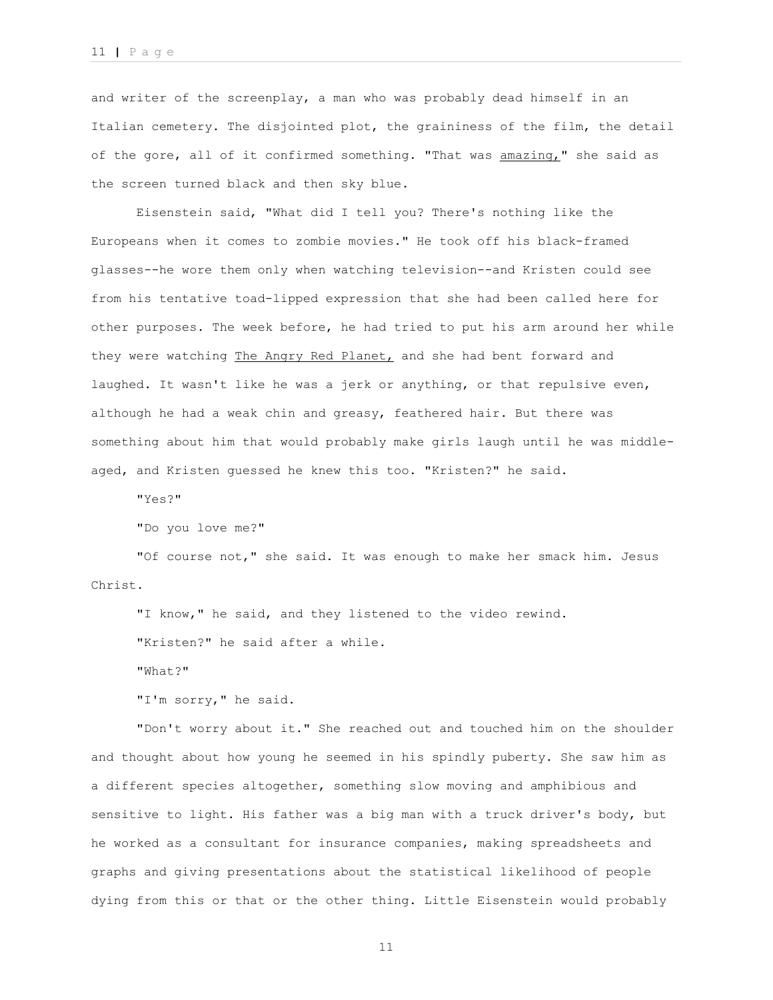and writer of the screenplay, a man who was probably dead himself in an Italian cemetery. The disjointed plot, the graininess of the film, the detail of the gore, all of it confirmed something. "That was amazing," she said as the screen turned black and then sky blue.

Eisenstein said, "What did I tell you? There's nothing like the Europeans when it comes to zombie movies." He took off his black-framed glasses--he wore them only when watching television--and Kristen could see from his tentative toad-lipped expression that she had been called here for other purposes. The week before, he had tried to put his arm around her while they were watching The Angry Red Planet, and she had bent forward and laughed. It wasn't like he was a jerk or anything, or that repulsive even, although he had a weak chin and greasy, feathered hair. But there was something about him that would probably make girls laugh until he was middleaged, and Kristen guessed he knew this too. "Kristen?" he said.

"Yes?"

"Do you love me?"

"Of course not," she said. It was enough to make her smack him. Jesus Christ.

"I know," he said, and they listened to the video rewind.

"Kristen?" he said after a while.

"What?"

"I'm sorry," he said.

"Don't worry about it." She reached out and touched him on the shoulder and thought about how young he seemed in his spindly puberty. She saw him as a different species altogether, something slow moving and amphibious and sensitive to light. His father was a big man with a truck driver's body, but he worked as a consultant for insurance companies, making spreadsheets and graphs and giving presentations about the statistical likelihood of people dying from this or that or the other thing. Little Eisenstein would probably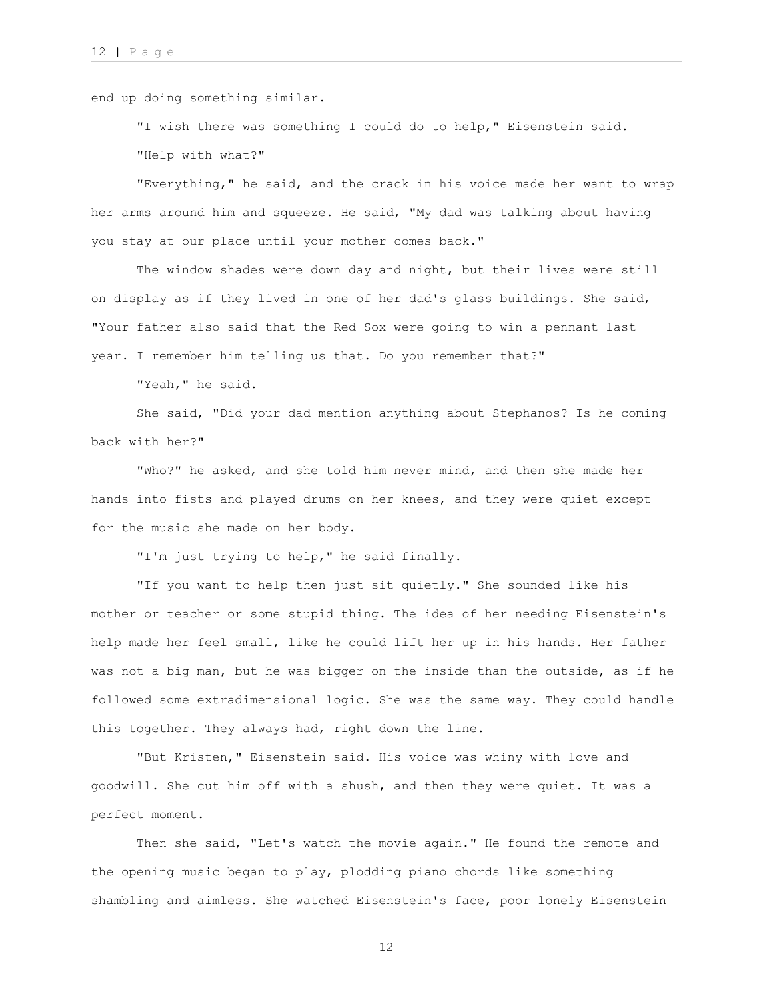end up doing something similar.

"I wish there was something I could do to help," Eisenstein said.

"Help with what?"

"Everything," he said, and the crack in his voice made her want to wrap her arms around him and squeeze. He said, "My dad was talking about having you stay at our place until your mother comes back."

The window shades were down day and night, but their lives were still on display as if they lived in one of her dad's glass buildings. She said, "Your father also said that the Red Sox were going to win a pennant last year. I remember him telling us that. Do you remember that?"

"Yeah," he said.

She said, "Did your dad mention anything about Stephanos? Is he coming back with her?"

"Who?" he asked, and she told him never mind, and then she made her hands into fists and played drums on her knees, and they were quiet except for the music she made on her body.

"I'm just trying to help," he said finally.

"If you want to help then just sit quietly." She sounded like his mother or teacher or some stupid thing. The idea of her needing Eisenstein's help made her feel small, like he could lift her up in his hands. Her father was not a big man, but he was bigger on the inside than the outside, as if he followed some extradimensional logic. She was the same way. They could handle this together. They always had, right down the line.

"But Kristen," Eisenstein said. His voice was whiny with love and goodwill. She cut him off with a shush, and then they were quiet. It was a perfect moment.

Then she said, "Let's watch the movie again." He found the remote and the opening music began to play, plodding piano chords like something shambling and aimless. She watched Eisenstein's face, poor lonely Eisenstein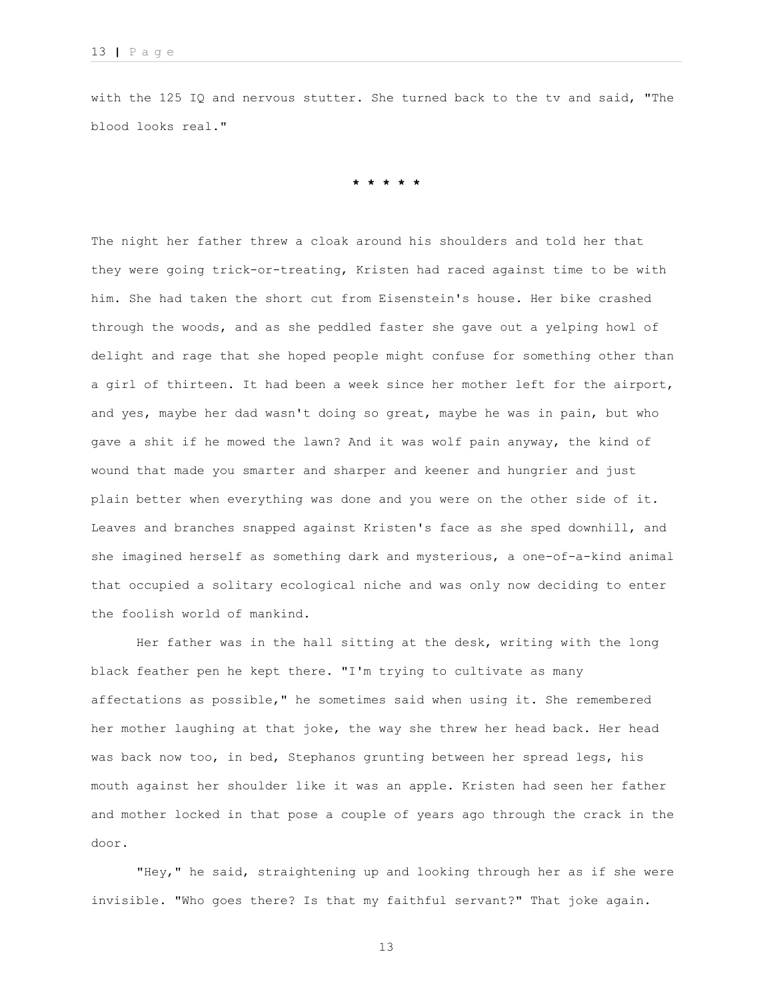with the 125 IQ and nervous stutter. She turned back to the tv and said, "The blood looks real."

**\* \* \* \* \***

The night her father threw a cloak around his shoulders and told her that they were going trick-or-treating, Kristen had raced against time to be with him. She had taken the short cut from Eisenstein's house. Her bike crashed through the woods, and as she peddled faster she gave out a yelping howl of delight and rage that she hoped people might confuse for something other than a girl of thirteen. It had been a week since her mother left for the airport, and yes, maybe her dad wasn't doing so great, maybe he was in pain, but who gave a shit if he mowed the lawn? And it was wolf pain anyway, the kind of wound that made you smarter and sharper and keener and hungrier and just plain better when everything was done and you were on the other side of it. Leaves and branches snapped against Kristen's face as she sped downhill, and she imagined herself as something dark and mysterious, a one-of-a-kind animal that occupied a solitary ecological niche and was only now deciding to enter the foolish world of mankind.

Her father was in the hall sitting at the desk, writing with the long black feather pen he kept there. "I'm trying to cultivate as many affectations as possible," he sometimes said when using it. She remembered her mother laughing at that joke, the way she threw her head back. Her head was back now too, in bed, Stephanos grunting between her spread legs, his mouth against her shoulder like it was an apple. Kristen had seen her father and mother locked in that pose a couple of years ago through the crack in the door.

"Hey," he said, straightening up and looking through her as if she were invisible. "Who goes there? Is that my faithful servant?" That joke again.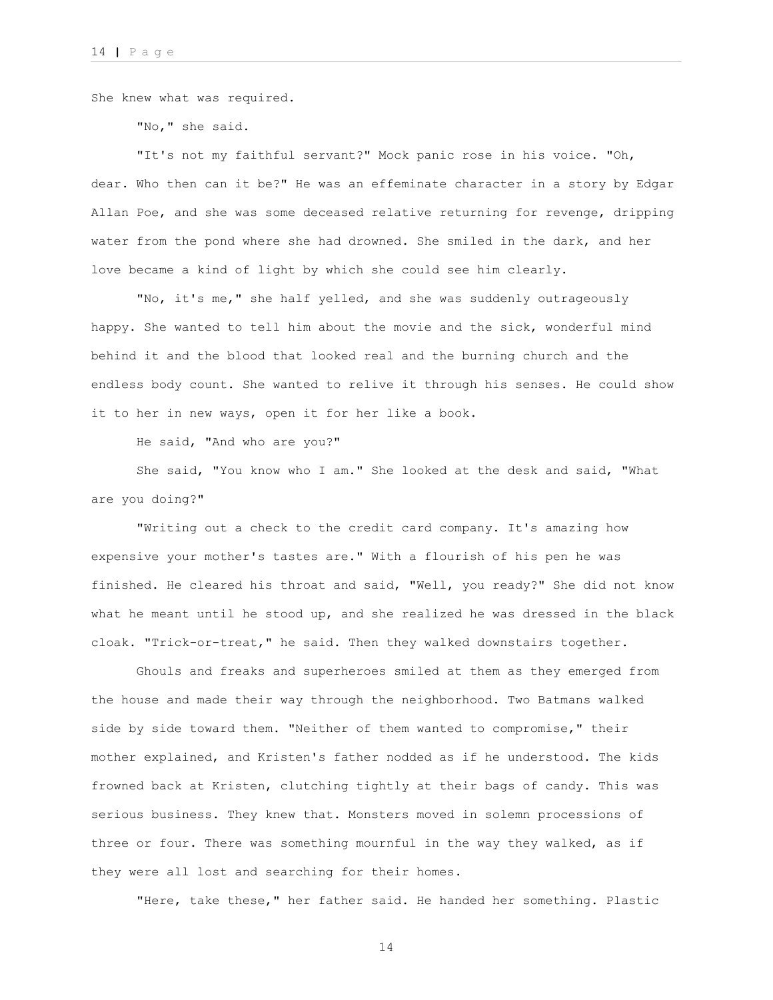She knew what was required.

"No," she said.

"It's not my faithful servant?" Mock panic rose in his voice. "Oh, dear. Who then can it be?" He was an effeminate character in a story by Edgar Allan Poe, and she was some deceased relative returning for revenge, dripping water from the pond where she had drowned. She smiled in the dark, and her love became a kind of light by which she could see him clearly.

"No, it's me," she half yelled, and she was suddenly outrageously happy. She wanted to tell him about the movie and the sick, wonderful mind behind it and the blood that looked real and the burning church and the endless body count. She wanted to relive it through his senses. He could show it to her in new ways, open it for her like a book.

He said, "And who are you?"

She said, "You know who I am." She looked at the desk and said, "What are you doing?"

"Writing out a check to the credit card company. It's amazing how expensive your mother's tastes are." With a flourish of his pen he was finished. He cleared his throat and said, "Well, you ready?" She did not know what he meant until he stood up, and she realized he was dressed in the black cloak. "Trick-or-treat," he said. Then they walked downstairs together.

Ghouls and freaks and superheroes smiled at them as they emerged from the house and made their way through the neighborhood. Two Batmans walked side by side toward them. "Neither of them wanted to compromise," their mother explained, and Kristen's father nodded as if he understood. The kids frowned back at Kristen, clutching tightly at their bags of candy. This was serious business. They knew that. Monsters moved in solemn processions of three or four. There was something mournful in the way they walked, as if they were all lost and searching for their homes.

"Here, take these," her father said. He handed her something. Plastic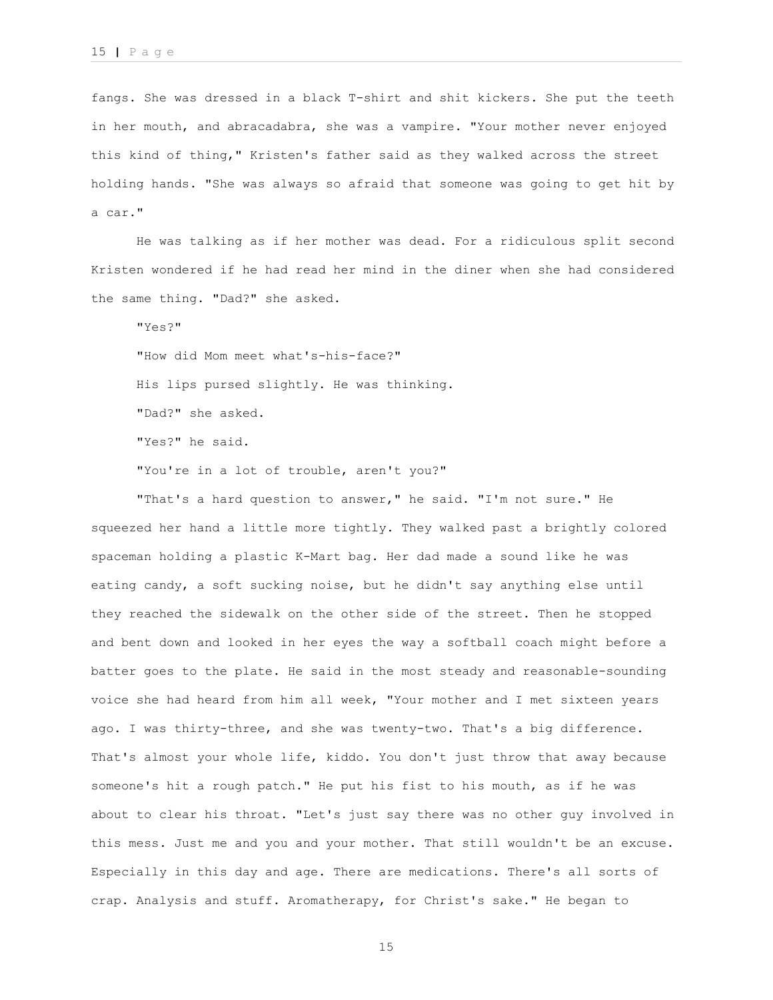fangs. She was dressed in a black T-shirt and shit kickers. She put the teeth in her mouth, and abracadabra, she was a vampire. "Your mother never enjoyed this kind of thing," Kristen's father said as they walked across the street holding hands. "She was always so afraid that someone was going to get hit by a car."

He was talking as if her mother was dead. For a ridiculous split second Kristen wondered if he had read her mind in the diner when she had considered the same thing. "Dad?" she asked.

"Yes?"

"How did Mom meet what's-his-face?" His lips pursed slightly. He was thinking. "Dad?" she asked.

"Yes?" he said.

"You're in a lot of trouble, aren't you?"

"That's a hard question to answer," he said. "I'm not sure." He squeezed her hand a little more tightly. They walked past a brightly colored spaceman holding a plastic K-Mart bag. Her dad made a sound like he was eating candy, a soft sucking noise, but he didn't say anything else until they reached the sidewalk on the other side of the street. Then he stopped and bent down and looked in her eyes the way a softball coach might before a batter goes to the plate. He said in the most steady and reasonable-sounding voice she had heard from him all week, "Your mother and I met sixteen years ago. I was thirty-three, and she was twenty-two. That's a big difference. That's almost your whole life, kiddo. You don't just throw that away because someone's hit a rough patch." He put his fist to his mouth, as if he was about to clear his throat. "Let's just say there was no other guy involved in this mess. Just me and you and your mother. That still wouldn't be an excuse. Especially in this day and age. There are medications. There's all sorts of crap. Analysis and stuff. Aromatherapy, for Christ's sake." He began to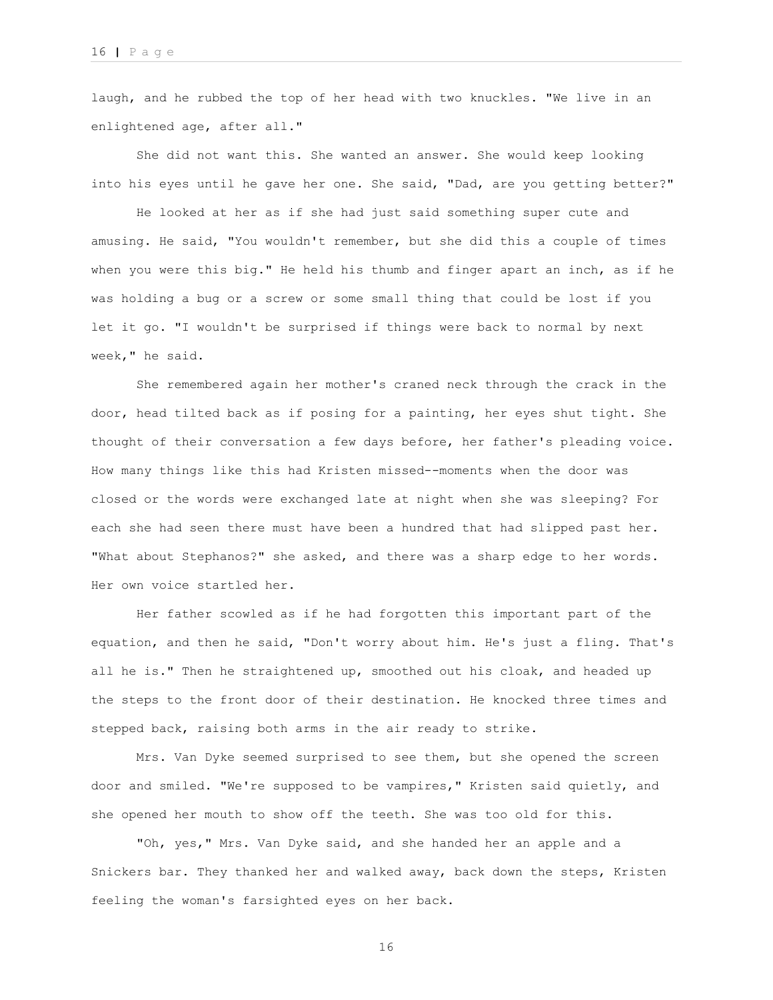laugh, and he rubbed the top of her head with two knuckles. "We live in an enlightened age, after all."

She did not want this. She wanted an answer. She would keep looking into his eyes until he gave her one. She said, "Dad, are you getting better?"

He looked at her as if she had just said something super cute and amusing. He said, "You wouldn't remember, but she did this a couple of times when you were this big." He held his thumb and finger apart an inch, as if he was holding a bug or a screw or some small thing that could be lost if you let it go. "I wouldn't be surprised if things were back to normal by next week," he said.

She remembered again her mother's craned neck through the crack in the door, head tilted back as if posing for a painting, her eyes shut tight. She thought of their conversation a few days before, her father's pleading voice. How many things like this had Kristen missed--moments when the door was closed or the words were exchanged late at night when she was sleeping? For each she had seen there must have been a hundred that had slipped past her. "What about Stephanos?" she asked, and there was a sharp edge to her words. Her own voice startled her.

Her father scowled as if he had forgotten this important part of the equation, and then he said, "Don't worry about him. He's just a fling. That's all he is." Then he straightened up, smoothed out his cloak, and headed up the steps to the front door of their destination. He knocked three times and stepped back, raising both arms in the air ready to strike.

Mrs. Van Dyke seemed surprised to see them, but she opened the screen door and smiled. "We're supposed to be vampires," Kristen said quietly, and she opened her mouth to show off the teeth. She was too old for this.

"Oh, yes," Mrs. Van Dyke said, and she handed her an apple and a Snickers bar. They thanked her and walked away, back down the steps, Kristen feeling the woman's farsighted eyes on her back.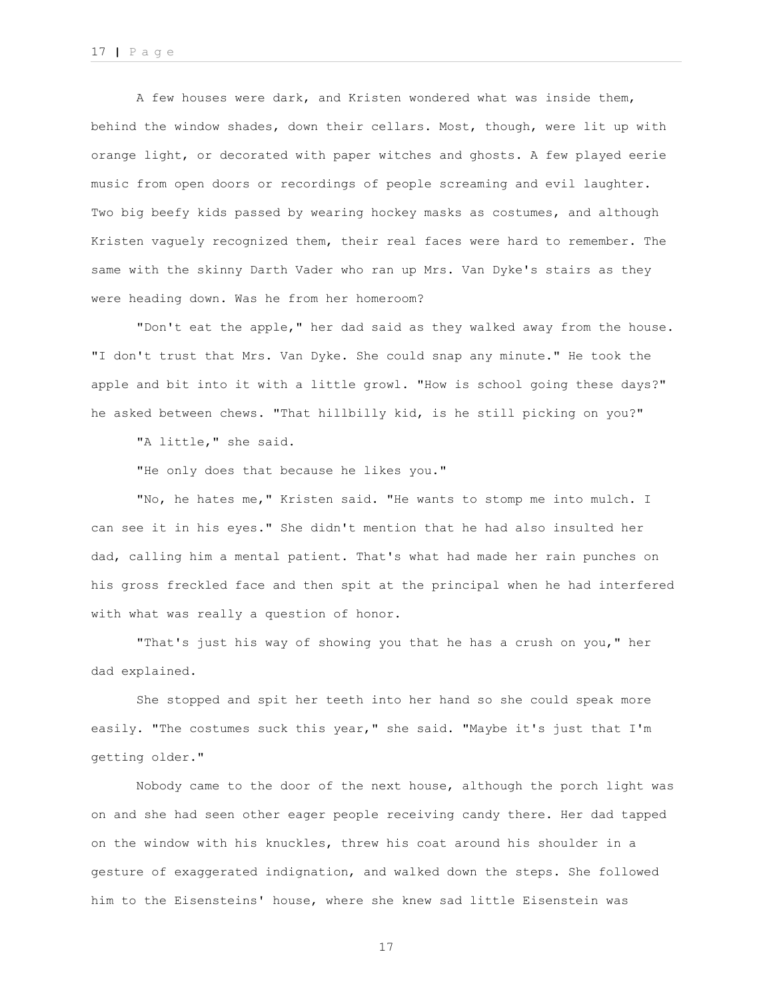A few houses were dark, and Kristen wondered what was inside them, behind the window shades, down their cellars. Most, though, were lit up with orange light, or decorated with paper witches and ghosts. A few played eerie music from open doors or recordings of people screaming and evil laughter. Two big beefy kids passed by wearing hockey masks as costumes, and although Kristen vaguely recognized them, their real faces were hard to remember. The same with the skinny Darth Vader who ran up Mrs. Van Dyke's stairs as they were heading down. Was he from her homeroom?

"Don't eat the apple," her dad said as they walked away from the house. "I don't trust that Mrs. Van Dyke. She could snap any minute." He took the apple and bit into it with a little growl. "How is school going these days?" he asked between chews. "That hillbilly kid, is he still picking on you?"

"A little," she said.

"He only does that because he likes you."

"No, he hates me," Kristen said. "He wants to stomp me into mulch. I can see it in his eyes." She didn't mention that he had also insulted her dad, calling him a mental patient. That's what had made her rain punches on his gross freckled face and then spit at the principal when he had interfered with what was really a question of honor.

"That's just his way of showing you that he has a crush on you," her dad explained.

She stopped and spit her teeth into her hand so she could speak more easily. "The costumes suck this year," she said. "Maybe it's just that I'm getting older."

Nobody came to the door of the next house, although the porch light was on and she had seen other eager people receiving candy there. Her dad tapped on the window with his knuckles, threw his coat around his shoulder in a gesture of exaggerated indignation, and walked down the steps. She followed him to the Eisensteins' house, where she knew sad little Eisenstein was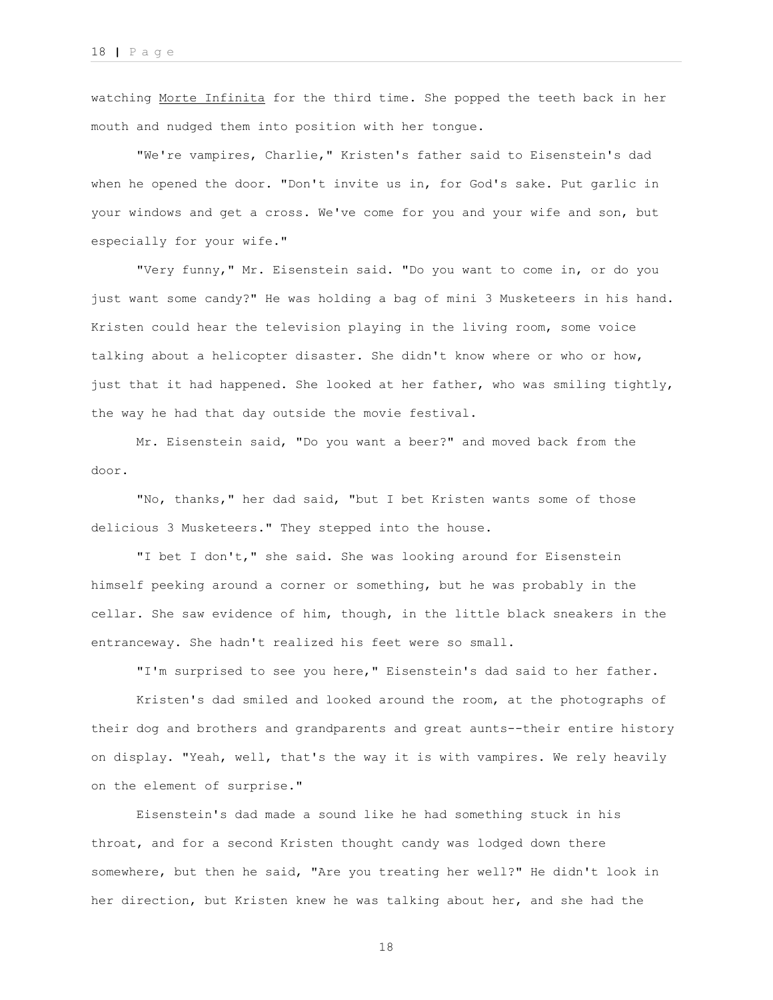watching Morte Infinita for the third time. She popped the teeth back in her mouth and nudged them into position with her tongue.

"We're vampires, Charlie," Kristen's father said to Eisenstein's dad when he opened the door. "Don't invite us in, for God's sake. Put garlic in your windows and get a cross. We've come for you and your wife and son, but especially for your wife."

"Very funny," Mr. Eisenstein said. "Do you want to come in, or do you just want some candy?" He was holding a bag of mini 3 Musketeers in his hand. Kristen could hear the television playing in the living room, some voice talking about a helicopter disaster. She didn't know where or who or how, just that it had happened. She looked at her father, who was smiling tightly, the way he had that day outside the movie festival.

Mr. Eisenstein said, "Do you want a beer?" and moved back from the door.

"No, thanks," her dad said, "but I bet Kristen wants some of those delicious 3 Musketeers." They stepped into the house.

"I bet I don't," she said. She was looking around for Eisenstein himself peeking around a corner or something, but he was probably in the cellar. She saw evidence of him, though, in the little black sneakers in the entranceway. She hadn't realized his feet were so small.

"I'm surprised to see you here," Eisenstein's dad said to her father.

Kristen's dad smiled and looked around the room, at the photographs of their dog and brothers and grandparents and great aunts--their entire history on display. "Yeah, well, that's the way it is with vampires. We rely heavily on the element of surprise."

Eisenstein's dad made a sound like he had something stuck in his throat, and for a second Kristen thought candy was lodged down there somewhere, but then he said, "Are you treating her well?" He didn't look in her direction, but Kristen knew he was talking about her, and she had the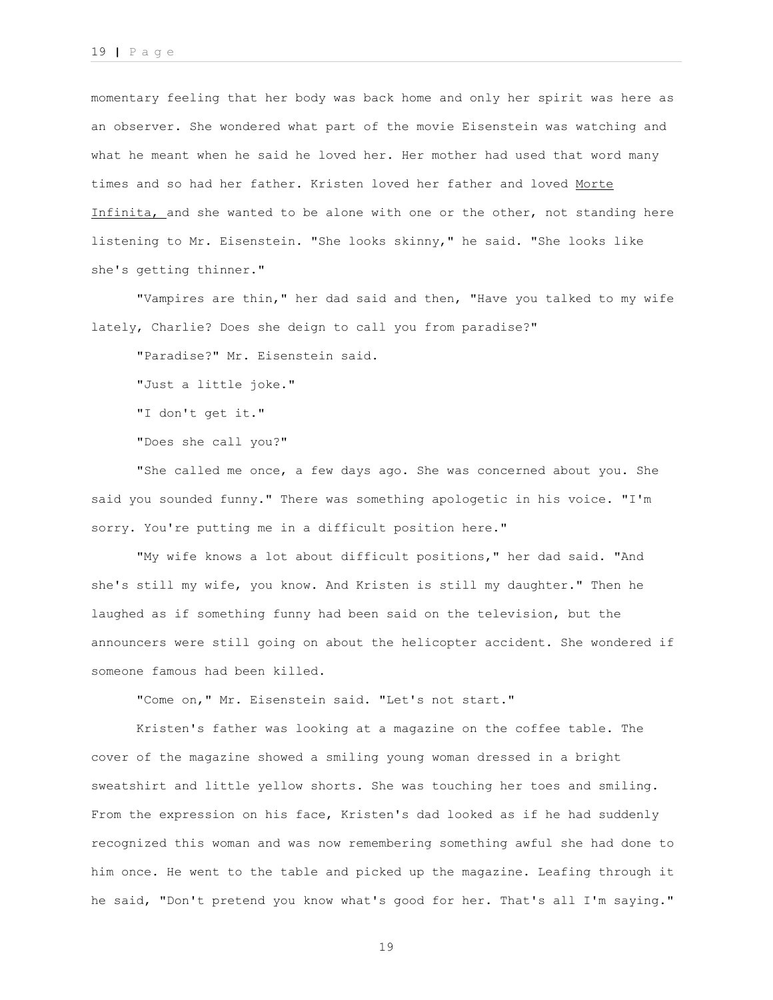momentary feeling that her body was back home and only her spirit was here as an observer. She wondered what part of the movie Eisenstein was watching and what he meant when he said he loved her. Her mother had used that word many times and so had her father. Kristen loved her father and loved Morte Infinita, and she wanted to be alone with one or the other, not standing here listening to Mr. Eisenstein. "She looks skinny," he said. "She looks like she's getting thinner."

"Vampires are thin," her dad said and then, "Have you talked to my wife lately, Charlie? Does she deign to call you from paradise?"

"Paradise?" Mr. Eisenstein said.

"Just a little joke."

"I don't get it."

"Does she call you?"

"She called me once, a few days ago. She was concerned about you. She said you sounded funny." There was something apologetic in his voice. "I'm sorry. You're putting me in a difficult position here."

"My wife knows a lot about difficult positions," her dad said. "And she's still my wife, you know. And Kristen is still my daughter." Then he laughed as if something funny had been said on the television, but the announcers were still going on about the helicopter accident. She wondered if someone famous had been killed.

"Come on," Mr. Eisenstein said. "Let's not start."

Kristen's father was looking at a magazine on the coffee table. The cover of the magazine showed a smiling young woman dressed in a bright sweatshirt and little yellow shorts. She was touching her toes and smiling. From the expression on his face, Kristen's dad looked as if he had suddenly recognized this woman and was now remembering something awful she had done to him once. He went to the table and picked up the magazine. Leafing through it he said, "Don't pretend you know what's good for her. That's all I'm saying."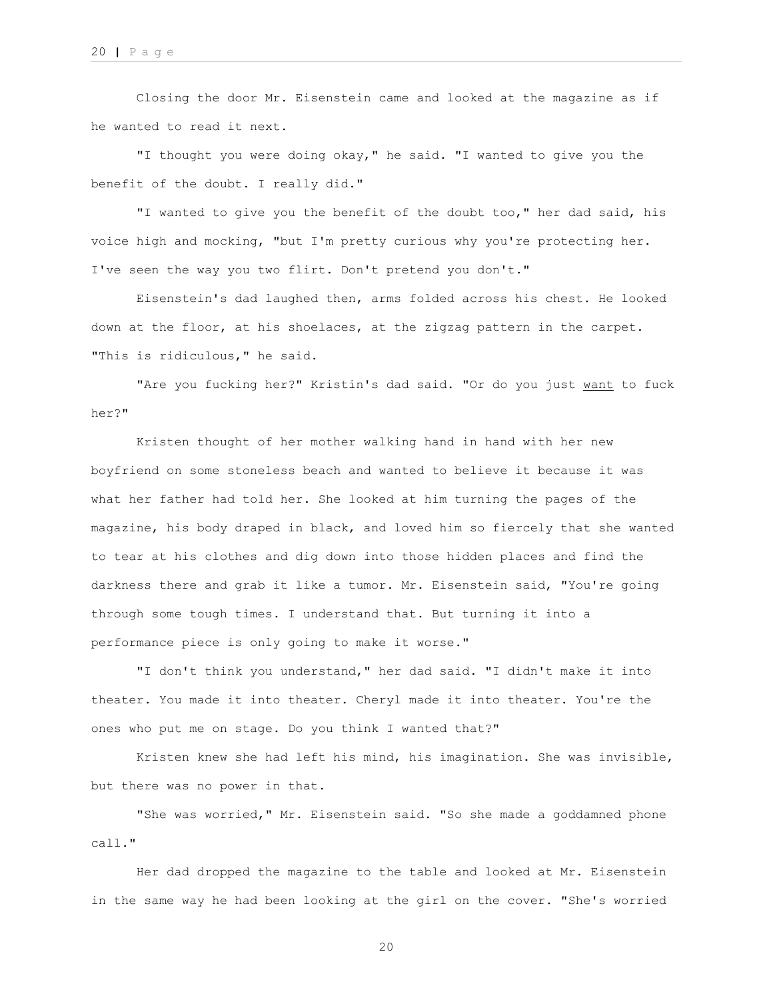Closing the door Mr. Eisenstein came and looked at the magazine as if he wanted to read it next.

"I thought you were doing okay," he said. "I wanted to give you the benefit of the doubt. I really did."

"I wanted to give you the benefit of the doubt too," her dad said, his voice high and mocking, "but I'm pretty curious why you're protecting her. I've seen the way you two flirt. Don't pretend you don't."

Eisenstein's dad laughed then, arms folded across his chest. He looked down at the floor, at his shoelaces, at the zigzag pattern in the carpet. "This is ridiculous," he said.

"Are you fucking her?" Kristin's dad said. "Or do you just want to fuck her?"

Kristen thought of her mother walking hand in hand with her new boyfriend on some stoneless beach and wanted to believe it because it was what her father had told her. She looked at him turning the pages of the magazine, his body draped in black, and loved him so fiercely that she wanted to tear at his clothes and dig down into those hidden places and find the darkness there and grab it like a tumor. Mr. Eisenstein said, "You're going through some tough times. I understand that. But turning it into a performance piece is only going to make it worse."

"I don't think you understand," her dad said. "I didn't make it into theater. You made it into theater. Cheryl made it into theater. You're the ones who put me on stage. Do you think I wanted that?"

Kristen knew she had left his mind, his imagination. She was invisible, but there was no power in that.

"She was worried," Mr. Eisenstein said. "So she made a goddamned phone call."

Her dad dropped the magazine to the table and looked at Mr. Eisenstein in the same way he had been looking at the girl on the cover. "She's worried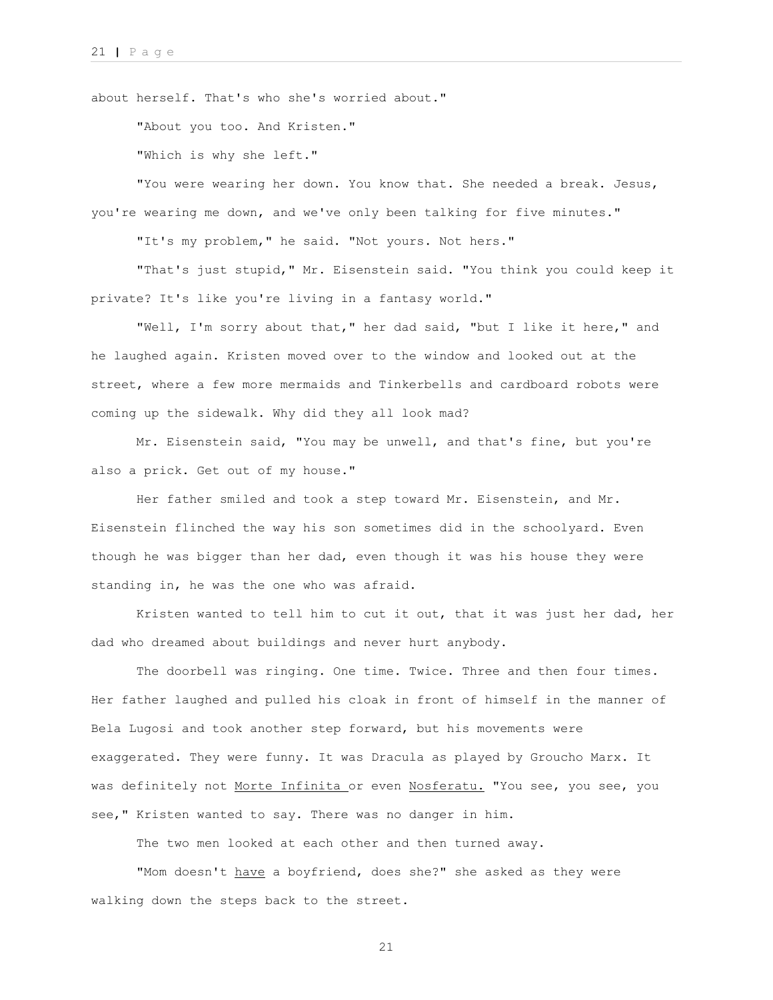about herself. That's who she's worried about."

"About you too. And Kristen."

"Which is why she left."

"You were wearing her down. You know that. She needed a break. Jesus, you're wearing me down, and we've only been talking for five minutes."

"It's my problem," he said. "Not yours. Not hers."

"That's just stupid," Mr. Eisenstein said. "You think you could keep it private? It's like you're living in a fantasy world."

"Well, I'm sorry about that," her dad said, "but I like it here," and he laughed again. Kristen moved over to the window and looked out at the street, where a few more mermaids and Tinkerbells and cardboard robots were coming up the sidewalk. Why did they all look mad?

Mr. Eisenstein said, "You may be unwell, and that's fine, but you're also a prick. Get out of my house."

Her father smiled and took a step toward Mr. Eisenstein, and Mr. Eisenstein flinched the way his son sometimes did in the schoolyard. Even though he was bigger than her dad, even though it was his house they were standing in, he was the one who was afraid.

Kristen wanted to tell him to cut it out, that it was just her dad, her dad who dreamed about buildings and never hurt anybody.

The doorbell was ringing. One time. Twice. Three and then four times. Her father laughed and pulled his cloak in front of himself in the manner of Bela Lugosi and took another step forward, but his movements were exaggerated. They were funny. It was Dracula as played by Groucho Marx. It was definitely not Morte Infinita or even Nosferatu. "You see, you see, you see," Kristen wanted to say. There was no danger in him.

The two men looked at each other and then turned away.

"Mom doesn't have a boyfriend, does she?" she asked as they were walking down the steps back to the street.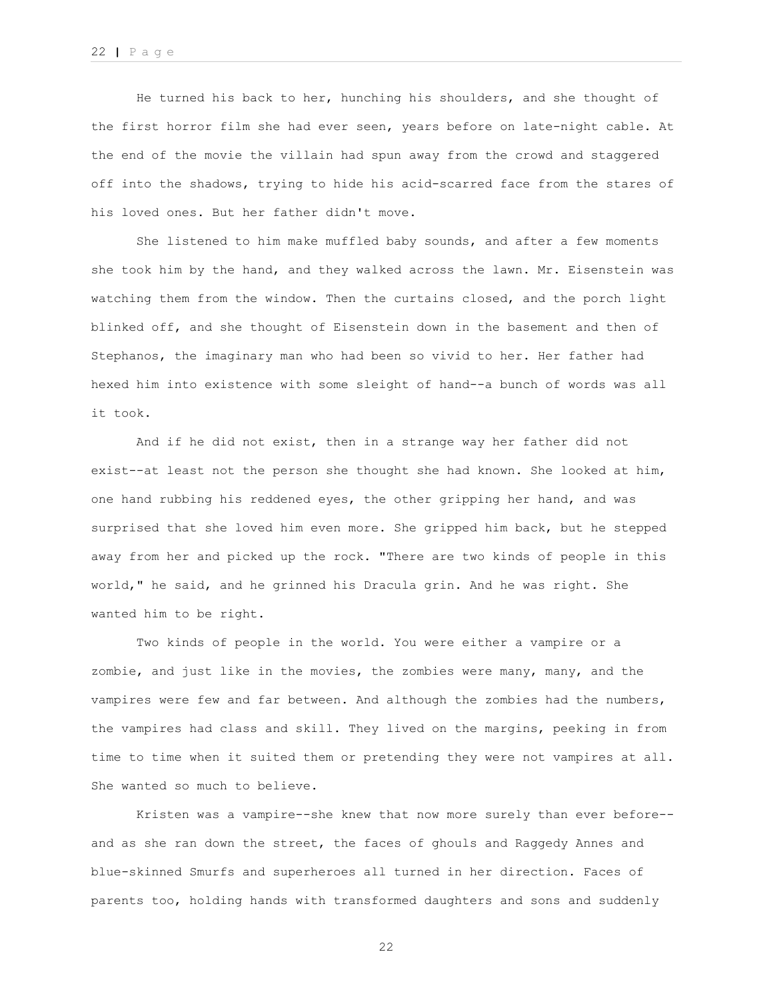He turned his back to her, hunching his shoulders, and she thought of the first horror film she had ever seen, years before on late-night cable. At the end of the movie the villain had spun away from the crowd and staggered off into the shadows, trying to hide his acid-scarred face from the stares of his loved ones. But her father didn't move.

She listened to him make muffled baby sounds, and after a few moments she took him by the hand, and they walked across the lawn. Mr. Eisenstein was watching them from the window. Then the curtains closed, and the porch light blinked off, and she thought of Eisenstein down in the basement and then of Stephanos, the imaginary man who had been so vivid to her. Her father had hexed him into existence with some sleight of hand--a bunch of words was all it took.

And if he did not exist, then in a strange way her father did not exist--at least not the person she thought she had known. She looked at him, one hand rubbing his reddened eyes, the other gripping her hand, and was surprised that she loved him even more. She gripped him back, but he stepped away from her and picked up the rock. "There are two kinds of people in this world," he said, and he grinned his Dracula grin. And he was right. She wanted him to be right.

Two kinds of people in the world. You were either a vampire or a zombie, and just like in the movies, the zombies were many, many, and the vampires were few and far between. And although the zombies had the numbers, the vampires had class and skill. They lived on the margins, peeking in from time to time when it suited them or pretending they were not vampires at all. She wanted so much to believe.

Kristen was a vampire--she knew that now more surely than ever before- and as she ran down the street, the faces of ghouls and Raggedy Annes and blue-skinned Smurfs and superheroes all turned in her direction. Faces of parents too, holding hands with transformed daughters and sons and suddenly